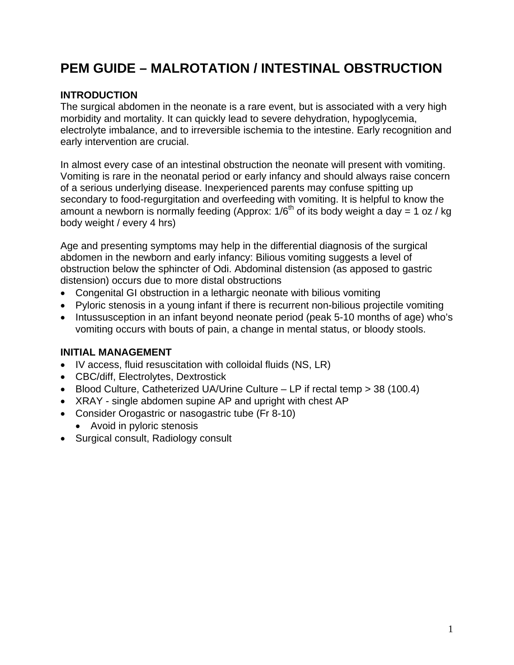# **PEM GUIDE – MALROTATION / INTESTINAL OBSTRUCTION**

## **INTRODUCTION**

The surgical abdomen in the neonate is a rare event, but is associated with a very high morbidity and mortality. It can quickly lead to severe dehydration, hypoglycemia, electrolyte imbalance, and to irreversible ischemia to the intestine. Early recognition and early intervention are crucial.

In almost every case of an intestinal obstruction the neonate will present with vomiting. Vomiting is rare in the neonatal period or early infancy and should always raise concern of a serious underlying disease. Inexperienced parents may confuse spitting up secondary to food-regurgitation and overfeeding with vomiting. It is helpful to know the amount a newborn is normally feeding (Approx:  $1/6^{th}$  of its body weight a day = 1 oz / kg body weight / every 4 hrs)

Age and presenting symptoms may help in the differential diagnosis of the surgical abdomen in the newborn and early infancy: Bilious vomiting suggests a level of obstruction below the sphincter of Odi. Abdominal distension (as apposed to gastric distension) occurs due to more distal obstructions

- Congenital GI obstruction in a lethargic neonate with bilious vomiting
- Pyloric stenosis in a young infant if there is recurrent non-bilious projectile vomiting
- Intussusception in an infant beyond neonate period (peak 5-10 months of age) who's vomiting occurs with bouts of pain, a change in mental status, or bloody stools.

## **INITIAL MANAGEMENT**

- IV access, fluid resuscitation with colloidal fluids (NS, LR)
- CBC/diff, Electrolytes, Dextrostick
- Blood Culture, Catheterized UA/Urine Culture LP if rectal temp > 38 (100.4)
- XRAY single abdomen supine AP and upright with chest AP
- Consider Orogastric or nasogastric tube (Fr 8-10)
	- Avoid in pyloric stenosis
- Surgical consult, Radiology consult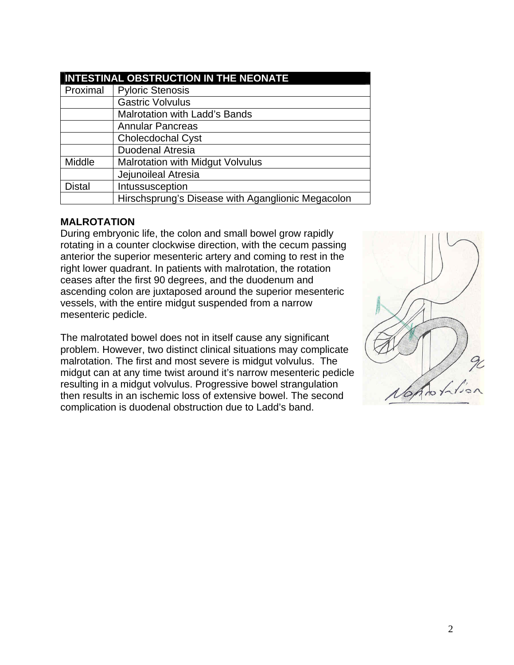| <b>INTESTINAL OBSTRUCTION IN THE NEONATE</b> |                                                   |
|----------------------------------------------|---------------------------------------------------|
| Proximal                                     | <b>Pyloric Stenosis</b>                           |
|                                              | <b>Gastric Volvulus</b>                           |
|                                              | <b>Malrotation with Ladd's Bands</b>              |
|                                              | <b>Annular Pancreas</b>                           |
|                                              | <b>Cholecdochal Cyst</b>                          |
|                                              | <b>Duodenal Atresia</b>                           |
| Middle                                       | <b>Malrotation with Midgut Volvulus</b>           |
|                                              | Jejunoileal Atresia                               |
| <b>Distal</b>                                | Intussusception                                   |
|                                              | Hirschsprung's Disease with Aganglionic Megacolon |

#### **MALROTATION**

During embryonic life, the colon and small bowel grow rapidly rotating in a counter clockwise direction, with the cecum passing anterior the superior mesenteric artery and coming to rest in the right lower quadrant. In patients with malrotation, the rotation ceases after the first 90 degrees, and the duodenum and ascending colon are juxtaposed around the superior mesenteric vessels, with the entire midgut suspended from a narrow mesenteric pedicle.

The malrotated bowel does not in itself cause any significant problem. However, two distinct clinical situations may complicate malrotation. The first and most severe is midgut volvulus. The midgut can at any time twist around it's narrow mesenteric pedicle resulting in a midgut volvulus. Progressive bowel strangulation then results in an ischemic loss of extensive bowel. The second complication is duodenal obstruction due to Ladd's band.

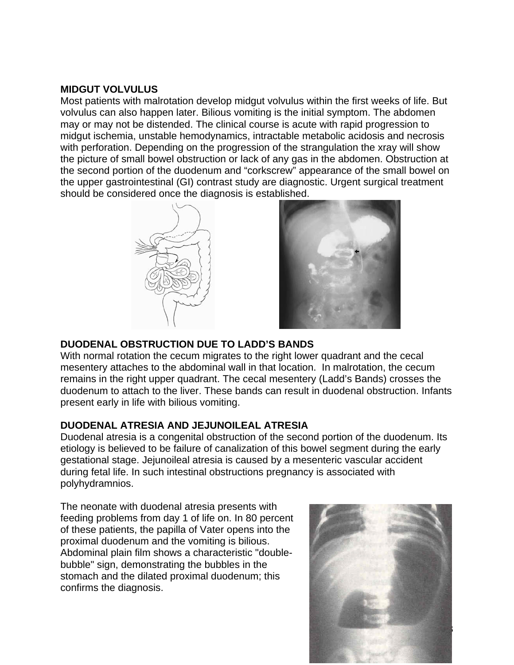#### **MIDGUT VOLVULUS**

Most patients with malrotation develop midgut volvulus within the first weeks of life. But volvulus can also happen later. Bilious vomiting is the initial symptom. The abdomen may or may not be distended. The clinical course is acute with rapid progression to midgut ischemia, unstable hemodynamics, intractable metabolic acidosis and necrosis with perforation. Depending on the progression of the strangulation the xray will show the picture of small bowel obstruction or lack of any gas in the abdomen. Obstruction at the second portion of the duodenum and "corkscrew" appearance of the small bowel on the upper gastrointestinal (GI) contrast study are diagnostic. Urgent surgical treatment should be considered once the diagnosis is established.





## **DUODENAL OBSTRUCTION DUE TO LADD'S BANDS**

With normal rotation the cecum migrates to the right lower quadrant and the cecal mesentery attaches to the abdominal wall in that location. In malrotation, the cecum remains in the right upper quadrant. The cecal mesentery (Ladd's Bands) crosses the duodenum to attach to the liver. These bands can result in duodenal obstruction. Infants present early in life with bilious vomiting.

#### **DUODENAL ATRESIA AND JEJUNOILEAL ATRESIA**

Duodenal atresia is a congenital obstruction of the second portion of the duodenum. Its etiology is believed to be failure of canalization of this bowel segment during the early gestational stage. Jejunoileal atresia is caused by a mesenteric vascular accident during fetal life. In such intestinal obstructions pregnancy is associated with polyhydramnios.

The neonate with duodenal atresia presents with feeding problems from day 1 of life on. In 80 percent of these patients, the papilla of Vater opens into the proximal duodenum and the vomiting is bilious. Abdominal plain film shows a characteristic "doublebubble" sign, demonstrating the bubbles in the stomach and the dilated proximal duodenum; this confirms the diagnosis.